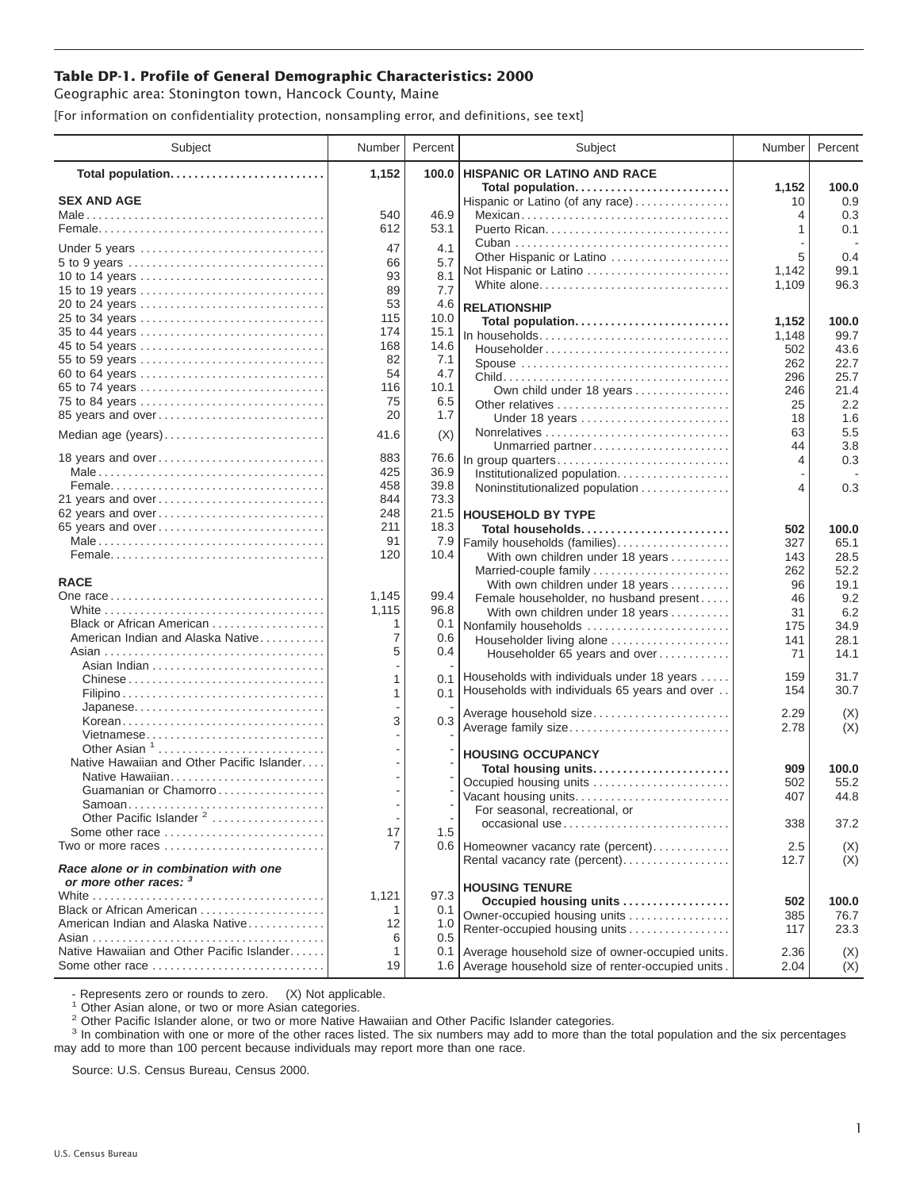## **Table DP-1. Profile of General Demographic Characteristics: 2000**

Geographic area: Stonington town, Hancock County, Maine

[For information on confidentiality protection, nonsampling error, and definitions, see text]

| Subject                                                         | Number         | Percent    | Subject                                                                    | Number      | Percent      |
|-----------------------------------------------------------------|----------------|------------|----------------------------------------------------------------------------|-------------|--------------|
| Total population                                                | 1,152          | 100.0      | <b>HISPANIC OR LATINO AND RACE</b>                                         |             |              |
| <b>SEX AND AGE</b>                                              |                |            | Total population<br>Hispanic or Latino (of any race)                       | 1,152<br>10 | 100.0<br>0.9 |
|                                                                 | 540            | 46.9       | Mexican                                                                    | 4           | 0.3          |
|                                                                 | 612            | 53.1       |                                                                            | 1           | 0.1          |
|                                                                 | 47             | 4.1        |                                                                            |             |              |
| Under 5 years<br>5 to 9 years                                   | 66             | 5.7        | Other Hispanic or Latino                                                   | 5           | 0.4          |
| 10 to 14 years                                                  | 93             | 8.1        | Not Hispanic or Latino                                                     | 1,142       | 99.1         |
| 15 to 19 years                                                  | 89             | 7.7        | White alone                                                                | 1,109       | 96.3         |
| 20 to 24 years                                                  | 53             | 4.6        | <b>RELATIONSHIP</b>                                                        |             |              |
| 25 to 34 years                                                  | 115            | 10.0       | Total population                                                           | 1,152       | 100.0        |
| 35 to 44 years                                                  | 174            | 15.1       | In households                                                              | 1,148       | 99.7         |
| 45 to 54 years                                                  | 168            | 14.6       | Householder                                                                | 502         | 43.6         |
| 55 to 59 years                                                  | 82             | 7.1        | Spouse                                                                     | 262         | 22.7         |
| 60 to 64 years                                                  | 54             | 4.7        |                                                                            | 296         | 25.7         |
| 65 to 74 years                                                  | 116            | 10.1       | Own child under 18 years                                                   | 246         | 21.4         |
| 75 to 84 years                                                  | 75<br>20       | 6.5<br>1.7 | Other relatives                                                            | 25          | 2.2          |
| 85 years and over                                               |                |            | Under 18 years                                                             | 18          | 1.6          |
| Median age (years)                                              | 41.6           | (X)        |                                                                            | 63<br>44    | 5.5          |
| 18 years and over                                               | 883            | 76.6       | Unmarried partner<br>In group quarters                                     | 4           | 3.8<br>0.3   |
|                                                                 | 425            | 36.9       | Institutionalized population                                               |             |              |
|                                                                 | 458            | 39.8       | Noninstitutionalized population                                            | 4           | 0.3          |
| 21 years and over                                               | 844            | 73.3       |                                                                            |             |              |
| 62 years and over                                               | 248            |            | 21.5   HOUSEHOLD BY TYPE                                                   |             |              |
| 65 years and over                                               | 211            | 18.3       | Total households                                                           | 502         | 100.0        |
|                                                                 | 91             | 7.9        | Family households (families)                                               | 327         | 65.1         |
|                                                                 | 120            | 10.4       | With own children under 18 years                                           | 143         | 28.5         |
| <b>RACE</b>                                                     |                |            | Married-couple family                                                      | 262         | 52.2         |
|                                                                 | 1,145          | 99.4       | With own children under 18 years                                           | 96          | 19.1         |
|                                                                 | 1,115          | 96.8       | Female householder, no husband present<br>With own children under 18 years | 46<br>31    | 9.2<br>6.2   |
| Black or African American                                       | 1              | 0.1        | Nonfamily households                                                       | 175         | 34.9         |
| American Indian and Alaska Native                               | 7              | 0.6        | Householder living alone                                                   | 141         | 28.1         |
|                                                                 | 5              | 0.4        | Householder 65 years and over                                              | 71          | 14.1         |
|                                                                 |                |            |                                                                            |             |              |
|                                                                 | 1              | 0.1        | Households with individuals under 18 years                                 | 159         | 31.7         |
|                                                                 | 1              |            | 0.1 Households with individuals 65 years and over                          | 154         | 30.7         |
|                                                                 |                |            | Average household size                                                     | 2.29        | (X)          |
| Korean<br>Vietnamese                                            | 3              | 0.3        | Average family size                                                        | 2.78        | (X)          |
| Other Asian <sup>1</sup>                                        |                |            |                                                                            |             |              |
| Native Hawaiian and Other Pacific Islander                      |                |            | <b>HOUSING OCCUPANCY</b>                                                   |             |              |
| Native Hawaiian                                                 |                |            | Total housing units                                                        | 909         | 100.0        |
| Guamanian or Chamorro                                           |                |            | Occupied housing units<br>Vacant housing units                             | 502<br>407  | 55.2<br>44.8 |
| Samoan                                                          |                |            | For seasonal, recreational, or                                             |             |              |
| Other Pacific Islander <sup>2</sup>                             |                |            | occasional use                                                             | 338         | 37.2         |
| Some other race                                                 | 17             | 1.5        |                                                                            |             |              |
| Two or more races                                               | $\overline{7}$ |            | 0.6   Homeowner vacancy rate (percent)                                     | 2.5         | (X)          |
| Race alone or in combination with one<br>or more other races: 3 |                |            | Rental vacancy rate (percent)                                              | 12.7        | (X)          |
|                                                                 | 1,121          | 97.3       | <b>HOUSING TENURE</b>                                                      |             |              |
| Black or African American                                       | 1              | 0.1        | Occupied housing units                                                     | 502         | 100.0        |
| American Indian and Alaska Native                               | 12             | 1.0        | Owner-occupied housing units<br>Renter-occupied housing units              | 385<br>117  | 76.7<br>23.3 |
|                                                                 | 6              | 0.5        |                                                                            |             |              |
| Native Hawaiian and Other Pacific Islander                      | 1              |            | 0.1 Average household size of owner-occupied units.                        | 2.36        | (X)          |
| Some other race                                                 | 19             |            | 1.6 Average household size of renter-occupied units.                       | 2.04        | (X)          |

- Represents zero or rounds to zero. (X) Not applicable.<br><sup>1</sup> Other Asian alone, or two or more Asian categories.

<sup>2</sup> Other Pacific Islander alone, or two or more Native Hawaiian and Other Pacific Islander categories.<br><sup>3</sup> In combination with one or more of the other races listed. The six numbers may add to more than the total populati may add to more than 100 percent because individuals may report more than one race.

Source: U.S. Census Bureau, Census 2000.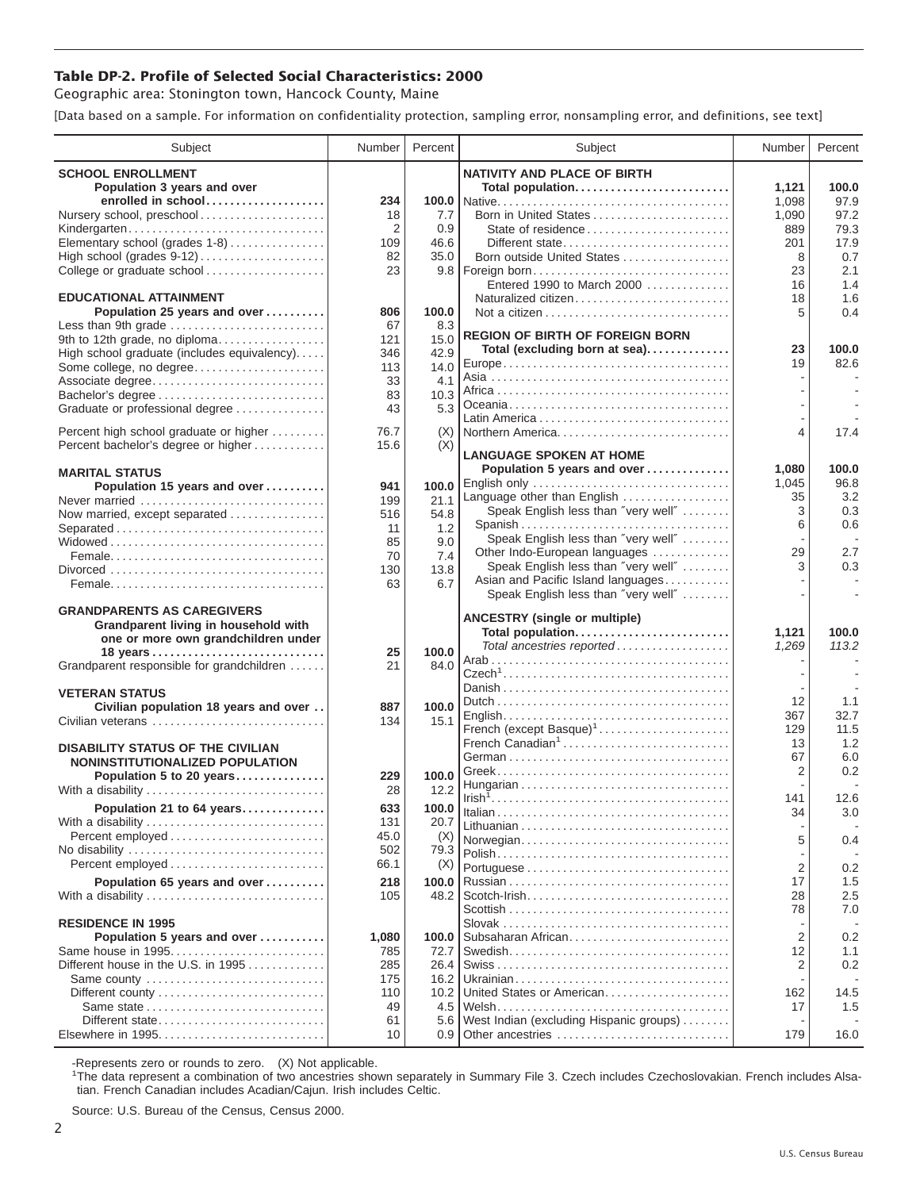## **Table DP-2. Profile of Selected Social Characteristics: 2000**

Geographic area: Stonington town, Hancock County, Maine

[Data based on a sample. For information on confidentiality protection, sampling error, nonsampling error, and definitions, see text]

| Subject                                                        | Number         | Percent          | Subject                                 | Number         | Percent |
|----------------------------------------------------------------|----------------|------------------|-----------------------------------------|----------------|---------|
| <b>SCHOOL ENROLLMENT</b>                                       |                |                  | <b>NATIVITY AND PLACE OF BIRTH</b>      |                |         |
| Population 3 years and over                                    |                |                  | Total population                        | 1,121          | 100.0   |
| enrolled in school                                             | 234            |                  |                                         | 1,098          | 97.9    |
| Nursery school, preschool                                      | 18             | 7.7              | Born in United States                   | 1,090          | 97.2    |
| Kindergarten                                                   | $\overline{2}$ | 0.9              | State of residence                      | 889            | 79.3    |
| Elementary school (grades 1-8)                                 | 109            | 46.6             | Different state                         | 201            | 17.9    |
| High school (grades 9-12)                                      | 82             | 35.0             | Born outside United States              | 8              | 0.7     |
| College or graduate school                                     | 23             | 9.8              | Foreign born                            | 23             | 2.1     |
|                                                                |                |                  | Entered 1990 to March 2000              | 16             | 1.4     |
| <b>EDUCATIONAL ATTAINMENT</b>                                  |                |                  | Naturalized citizen                     | 18             | 1.6     |
| Population 25 years and over                                   | 806            | 100.0            |                                         | 5              | 0.4     |
| Less than 9th grade                                            | 67             | 8.3              | <b>REGION OF BIRTH OF FOREIGN BORN</b>  |                |         |
| 9th to 12th grade, no diploma                                  | 121            | 15.0             | Total (excluding born at sea)           | 23             | 100.0   |
| High school graduate (includes equivalency)                    | 346            | 42.9<br>14.0     |                                         | 19             | 82.6    |
| Some college, no degree<br>Associate degree                    | 113<br>33      | 4.1              |                                         |                |         |
| Bachelor's degree                                              | 83             | 10.3             |                                         |                |         |
| Graduate or professional degree                                | 43             | 5.3              |                                         |                |         |
|                                                                |                |                  |                                         |                |         |
| Percent high school graduate or higher                         | 76.7           | (X)              | Northern America                        | 4              | 17.4    |
| Percent bachelor's degree or higher                            | 15.6           | (X)              | <b>LANGUAGE SPOKEN AT HOME</b>          |                |         |
|                                                                |                |                  | Population 5 years and over             | 1,080          | 100.0   |
| <b>MARITAL STATUS</b>                                          |                |                  | English only                            | 1,045          | 96.8    |
| Population 15 years and over                                   | 941            | 100.0            | Language other than English             | 35             | 3.2     |
| Never married                                                  | 199            | 21.1             | Speak English less than "very well"     | 3              | 0.3     |
| Now married, except separated                                  | 516<br>11      | 54.8<br>1.2      | Spanish                                 | 6              | 0.6     |
|                                                                | 85             | 9.0              | Speak English less than "very well"     |                |         |
|                                                                | 70             | 7.4              | Other Indo-European languages           | 29             | 2.7     |
|                                                                | 130            | 13.8             | Speak English less than "very well"     | 3              | 0.3     |
|                                                                | 63             | 6.7              | Asian and Pacific Island languages      |                |         |
|                                                                |                |                  | Speak English less than "very well"     |                |         |
| <b>GRANDPARENTS AS CAREGIVERS</b>                              |                |                  | <b>ANCESTRY (single or multiple)</b>    |                |         |
| Grandparent living in household with                           |                |                  | Total population                        | 1,121          | 100.0   |
| one or more own grandchildren under                            |                |                  | Total ancestries reported               | 1,269          | 113.2   |
|                                                                | 25             | 100.0            |                                         |                |         |
| Grandparent responsible for grandchildren                      | 21             | 84.0             |                                         |                |         |
|                                                                |                |                  |                                         |                |         |
| <b>VETERAN STATUS</b><br>Civilian population 18 years and over | 887            | 100.0            |                                         | 12             | 1.1     |
| Civilian veterans                                              | 134            | 15.1             |                                         | 367            | 32.7    |
|                                                                |                |                  | French (except Basque) <sup>1</sup>     | 129            | 11.5    |
| <b>DISABILITY STATUS OF THE CIVILIAN</b>                       |                |                  | French Canadian <sup>1</sup>            | 13             | 1.2     |
| NONINSTITUTIONALIZED POPULATION                                |                |                  |                                         | 67             | 6.0     |
| Population 5 to 20 years                                       | 229            | 100.0            |                                         | 2              | 0.2     |
| With a disability                                              | 28             | 12.2             |                                         |                |         |
| Population 21 to 64 years                                      | 633            | 100.0            |                                         | 141<br>34      | 12.6    |
| With a disability                                              | 131            | 20.7             |                                         |                | 3.0     |
|                                                                | 45.0           | (X)              | Norwegian                               | 5              | 0.4     |
| No disability                                                  | 502            | 79.3             |                                         |                |         |
| Percent employed                                               | 66.1           | (X)              |                                         | $\overline{2}$ | 0.2     |
| Population 65 years and over                                   | 218            | 100.0            |                                         | 17             | 1.5     |
| With a disability                                              | 105            | 48.2             | Scotch-Irish                            | 28             | 2.5     |
|                                                                |                |                  |                                         | 78             | 7.0     |
| <b>RESIDENCE IN 1995</b>                                       |                |                  |                                         |                |         |
| Population 5 years and over                                    | 1,080          | 100.0            | Subsaharan African                      | 2              | 0.2     |
| Same house in 1995                                             | 785            | 72.7             |                                         | 12             | 1.1     |
| Different house in the U.S. in 1995                            | 285            | 26.4             |                                         | $\overline{2}$ | 0.2     |
| Same county                                                    | 175            | 16.2             |                                         |                |         |
| Different county                                               | 110            | 10.2             | United States or American               | 162            | 14.5    |
| Same state                                                     | 49             | 4.5              |                                         | 17             | 1.5     |
| Different state                                                | 61             | 5.6              | West Indian (excluding Hispanic groups) |                |         |
|                                                                | 10             | 0.9 <sub>1</sub> | Other ancestries                        | 179            | 16.0    |

-Represents zero or rounds to zero. (X) Not applicable. 1 The data represent a combination of two ancestries shown separately in Summary File 3. Czech includes Czechoslovakian. French includes Alsatian. French Canadian includes Acadian/Cajun. Irish includes Celtic.

Source: U.S. Bureau of the Census, Census 2000.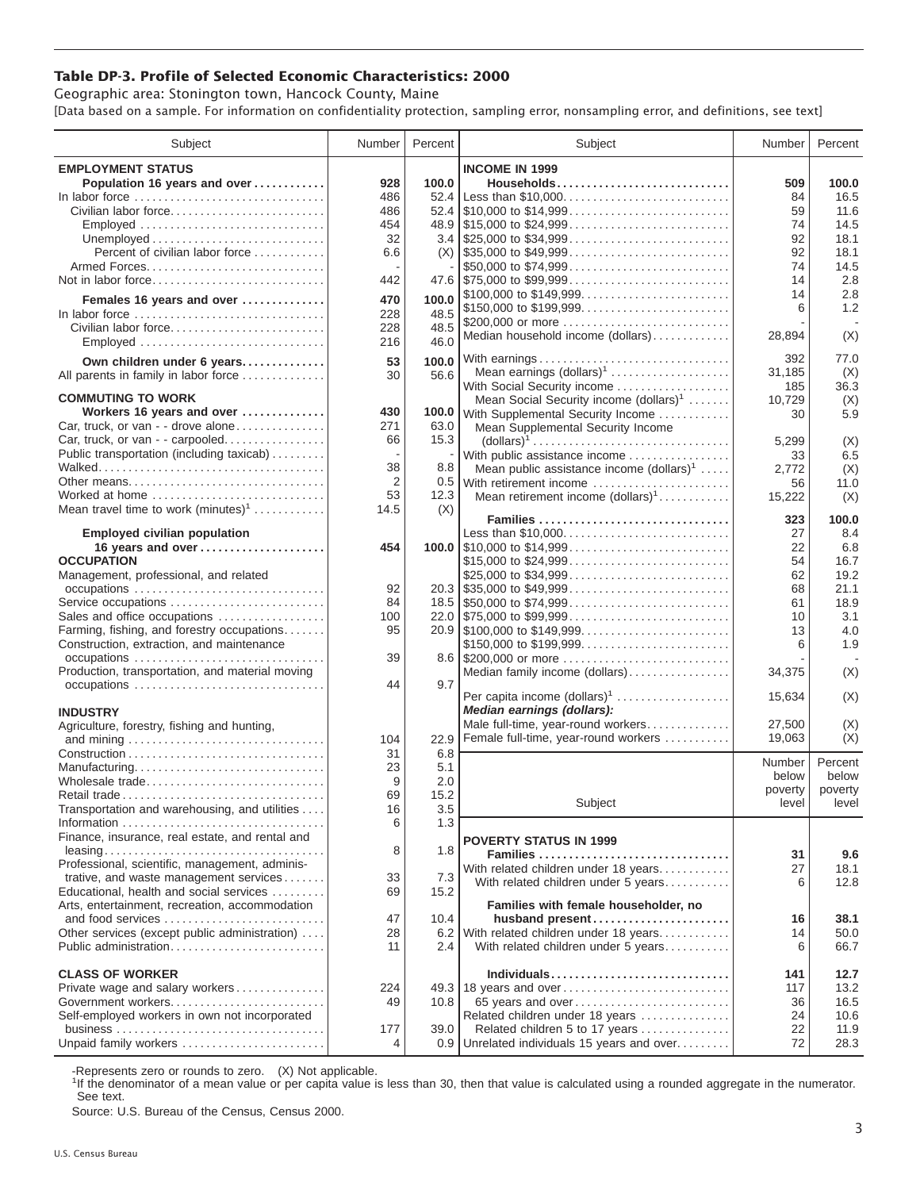## **Table DP-3. Profile of Selected Economic Characteristics: 2000**

Geographic area: Stonington town, Hancock County, Maine [Data based on a sample. For information on confidentiality protection, sampling error, nonsampling error, and definitions, see text]

| Subject                                                                         | Number | Percent | Subject                                                                                | Number  | Percent |
|---------------------------------------------------------------------------------|--------|---------|----------------------------------------------------------------------------------------|---------|---------|
| <b>EMPLOYMENT STATUS</b>                                                        |        |         | <b>INCOME IN 1999</b>                                                                  |         |         |
| Population 16 years and over                                                    | 928    | 100.0   | Households                                                                             | 509     | 100.0   |
| In labor force                                                                  | 486    | 52.4    | Less than \$10,000                                                                     | 84      | 16.5    |
| Civilian labor force                                                            | 486    |         |                                                                                        | 59      | 11.6    |
|                                                                                 |        |         |                                                                                        |         |         |
| Employed                                                                        | 454    |         |                                                                                        | 74      | 14.5    |
|                                                                                 | 32     |         |                                                                                        | 92      | 18.1    |
| Percent of civilian labor force                                                 | 6.6    |         | $(X)$ \\ \$35,000 to \$49,999                                                          | 92      | 18.1    |
|                                                                                 |        |         | \$50,000 to \$74,999                                                                   | 74      | 14.5    |
| Not in labor force                                                              | 442    |         |                                                                                        | 14      | 2.8     |
|                                                                                 | 470    | 100.0   | \$100,000 to \$149,999                                                                 | 14      | 2.8     |
| Females 16 years and over                                                       |        |         | \$150,000 to \$199,999                                                                 | 6       | 1.2     |
| In labor force $\ldots \ldots \ldots \ldots \ldots \ldots \ldots \ldots \ldots$ | 228    | 48.5    | \$200,000 or more                                                                      |         |         |
| Civilian labor force                                                            | 228    | 48.5    | Median household income (dollars)                                                      | 28,894  | (X)     |
|                                                                                 | 216    | 46.0    |                                                                                        |         |         |
| Own children under 6 years                                                      | 53     | 100.0   |                                                                                        | 392     | 77.0    |
| All parents in family in labor force                                            | 30     | 56.6    | Mean earnings $(dollars)1$                                                             | 31,185  | (X)     |
|                                                                                 |        |         | With Social Security income                                                            | 185     | 36.3    |
| <b>COMMUTING TO WORK</b>                                                        |        |         | Mean Social Security income $(dollars)^1$                                              | 10,729  | (X)     |
| Workers 16 years and over                                                       | 430    |         | 100.0 With Supplemental Security Income                                                | 30      | 5.9     |
| Car, truck, or van - - drove alone                                              | 271    | 63.0    | Mean Supplemental Security Income                                                      |         |         |
| Car, truck, or van - - carpooled                                                | 66     | 15.3    |                                                                                        |         |         |
|                                                                                 |        |         | $\text{(dollars)}^1 \dots \dots \dots \dots \dots \dots \dots \dots \dots \dots \dots$ | 5,299   | (X)     |
| Public transportation (including taxicab)                                       |        |         | With public assistance income                                                          | 33      | 6.5     |
|                                                                                 | 38     | 8.8     | Mean public assistance income $(dollars)1 \ldots$ .                                    | 2,772   | (X)     |
| Other means                                                                     | 2      |         | 0.5 With retirement income                                                             | 56      | 11.0    |
| Worked at home                                                                  | 53     | 12.3    | Mean retirement income $(dollars)1$                                                    | 15,222  | (X)     |
| Mean travel time to work $(minutes)^1$                                          | 14.5   | (X)     |                                                                                        |         |         |
|                                                                                 |        |         | Families                                                                               | 323     | 100.0   |
| <b>Employed civilian population</b>                                             |        |         | Less than \$10,000                                                                     | 27      | 8.4     |
| 16 years and over                                                               | 454    |         |                                                                                        | 22      | 6.8     |
| <b>OCCUPATION</b>                                                               |        |         | \$15,000 to \$24,999                                                                   | 54      | 16.7    |
| Management, professional, and related                                           |        |         | \$25,000 to \$34,999                                                                   | 62      | 19.2    |
|                                                                                 | 92     |         | $20.3$ \\ \$35,000 to \$49,999                                                         | 68      | 21.1    |
| Service occupations                                                             | 84     |         |                                                                                        | 61      | 18.9    |
| Sales and office occupations                                                    | 100    |         |                                                                                        | 10      | 3.1     |
| Farming, fishing, and forestry occupations                                      | 95     |         |                                                                                        | 13      | 4.0     |
| Construction, extraction, and maintenance                                       |        |         | \$150,000 to \$199,999                                                                 | 6       | 1.9     |
|                                                                                 | 39     |         | 8.6 \$200,000 or more                                                                  |         |         |
| Production, transportation, and material moving                                 |        |         | Median family income (dollars)                                                         | 34,375  | (X)     |
|                                                                                 | 44     | 9.7     |                                                                                        |         |         |
|                                                                                 |        |         | Per capita income $(dollars)1$                                                         | 15,634  | (X)     |
| <b>INDUSTRY</b>                                                                 |        |         | Median earnings (dollars):                                                             |         |         |
|                                                                                 |        |         | Male full-time, year-round workers                                                     | 27.500  | (X)     |
| Agriculture, forestry, fishing and hunting,                                     |        |         |                                                                                        | 19,063  | (X)     |
|                                                                                 | 104    | 22.9    | Female full-time, year-round workers                                                   |         |         |
|                                                                                 | 31     | 6.8     |                                                                                        | Number  | Percent |
| Manufacturing                                                                   | 23     | 5.1     |                                                                                        | below   | below   |
| Wholesale trade                                                                 | 9      | 2.0     |                                                                                        | poverty | poverty |
| Retail trade                                                                    | 69     | 15.2    | Subject                                                                                | level   | level   |
| Transportation and warehousing, and utilities                                   | 16     | $3.5\,$ |                                                                                        |         |         |
|                                                                                 | 6      | 1.3     |                                                                                        |         |         |
| Finance, insurance, real estate, and rental and                                 |        |         | <b>POVERTY STATUS IN 1999</b>                                                          |         |         |
|                                                                                 | 8      | 1.8     | Families                                                                               | 31      | 9.6     |
| Professional, scientific, management, adminis-                                  |        |         |                                                                                        |         |         |
| trative, and waste management services                                          | 33     | 7.3     | With related children under 18 years                                                   | 27      | 18.1    |
| Educational, health and social services                                         | 69     | 15.2    | With related children under 5 years                                                    | 6       | 12.8    |
| Arts, entertainment, recreation, accommodation                                  |        |         | Families with female householder, no                                                   |         |         |
| and food services                                                               | 47     | 10.4    | husband present                                                                        | 16      | 38.1    |
|                                                                                 | 28     | 6.2     |                                                                                        | 14      | 50.0    |
| Other services (except public administration)                                   |        |         | With related children under 18 years                                                   |         |         |
| Public administration                                                           | 11     | 2.4     | With related children under 5 years                                                    | 6       | 66.7    |
|                                                                                 |        |         |                                                                                        |         |         |
| <b>CLASS OF WORKER</b>                                                          |        |         | Individuals                                                                            | 141     | 12.7    |
| Private wage and salary workers                                                 | 224    |         | 49.3 18 years and over                                                                 | 117     | 13.2    |
| Government workers                                                              | 49     | 10.8    | 65 years and over                                                                      | 36      | 16.5    |
| Self-employed workers in own not incorporated                                   |        |         | Related children under 18 years                                                        | 24      | 10.6    |
|                                                                                 | 177    | 39.0    | Related children 5 to 17 years                                                         | 22      | 11.9    |
| Unpaid family workers                                                           | 4      |         | 0.9 Unrelated individuals 15 years and over                                            | 72      | 28.3    |

-Represents zero or rounds to zero. (X) Not applicable.

<sup>1</sup>If the denominator of a mean value or per capita value is less than 30, then that value is calculated using a rounded aggregate in the numerator. See text.

Source: U.S. Bureau of the Census, Census 2000.